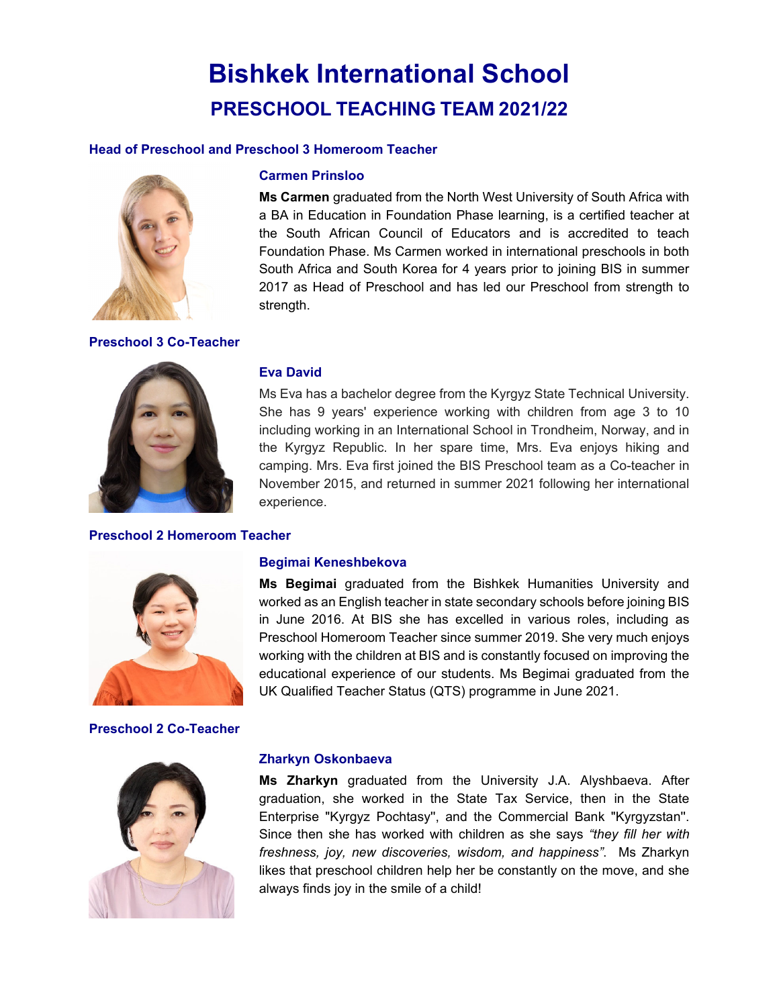## **Bishkek International School PRESCHOOL TEACHING TEAM 2021/22**

#### **Head of Preschool and Preschool 3 Homeroom Teacher**



#### **Preschool 3 Co-Teacher**

#### **Carmen Prinsloo**

**Ms Carmen** graduated from the North West University of South Africa with a BA in Education in Foundation Phase learning, is a certified teacher at the South African Council of Educators and is accredited to teach Foundation Phase. Ms Carmen worked in international preschools in both South Africa and South Korea for 4 years prior to joining BIS in summer 2017 as Head of Preschool and has led our Preschool from strength to strength.



#### **Preschool 2 Homeroom Teacher**

#### **Eva David**

Ms Eva has a bachelor degree from the Kyrgyz State Technical University. She has 9 years' experience working with children from age 3 to 10 including working in an International School in Trondheim, Norway, and in the Kyrgyz Republic. In her spare time, Mrs. Eva enjoys hiking and camping. Mrs. Eva first joined the BIS Preschool team as a Co-teacher in November 2015, and returned in summer 2021 following her international experience.



#### **Preschool 2 Co-Teacher**



**Ms Begimai** graduated from the Bishkek Humanities University and worked as an English teacher in state secondary schools before joining BIS in June 2016. At BIS she has excelled in various roles, including as Preschool Homeroom Teacher since summer 2019. She very much enjoys working with the children at BIS and is constantly focused on improving the educational experience of our students. Ms Begimai graduated from the UK Qualified Teacher Status (QTS) programme in June 2021.

### **Zharkyn Oskonbaeva**

**Begimai Keneshbekova** 

**Ms Zharkyn** graduated from the University J.A. Alyshbaeva. After graduation, she worked in the State Tax Service, then in the State Enterprise "Kyrgyz Pochtasy'', and the Commercial Bank "Kyrgyzstan''. Since then she has worked with children as she says *"they fill her with freshness, joy, new discoveries, wisdom, and happiness"*. Ms Zharkyn likes that preschool children help her be constantly on the move, and she always finds joy in the smile of a child!